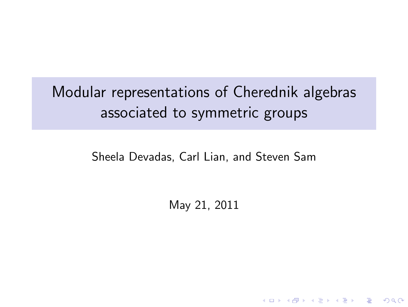Modular representations of Cherednik algebras associated to symmetric groups

<span id="page-0-0"></span>Sheela Devadas, Carl Lian, and Steven Sam

May 21, 2011

K ロ ▶ K @ ▶ K 할 > K 할 > 1 할 > 1 이익어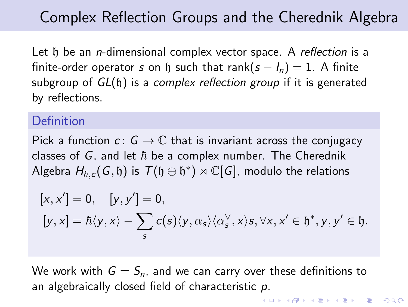# Complex Reflection Groups and the Cherednik Algebra

Let h be an *n*-dimensional complex vector space. A *reflection* is a finite-order operator *s* on h such that rank( $s - I_n$ ) = 1. A finite subgroup of *GL*(h) is a *complex reflection group* if it is generated by reflections.

### **Definition**

Pick a function  $c: G \to \mathbb{C}$  that is invariant across the conjugacy classes of  $G$ , and let  $\hbar$  be a complex number. The Cherednik  $\mathsf{Algebra}\;H_{\hbar,\bm{c}}(\bm{G},\mathfrak{h})\;\text{is}\;\mathcal{T}(\mathfrak{h}\oplus\mathfrak{h}^*)\rtimes\mathbb{C}[\bm{G}],$  modulo the relations

$$
\begin{aligned}[x,x']&=0, \quad [y,y'] = 0,\\ [y,x] &= \hbar \langle y, x \rangle - \sum_s c(s) \langle y, \alpha_s \rangle \langle \alpha_s^\vee, x \rangle s, \forall x, x' \in \mathfrak{h}^*, y, y' \in \mathfrak{h}. \end{aligned}
$$

We work with  $G = S_n$ , and we can carry over these definitions to an algebraically closed field of characteristic *p*.

**KORK ERKER ER VAN KORK**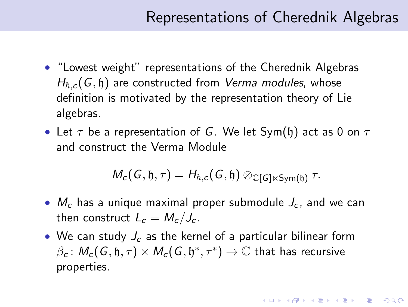## Representations of Cherednik Algebras

**KORKAR KERKER E VOOR** 

- "Lowest weight" representations of the Cherednik Algebras  $H_{\hbar,c}(G, \mathfrak{h})$  are constructed from *Verma modules*, whose definition is motivated by the representation theory of Lie algebras.
- Let  $\tau$  be a representation of *G*. We let Sym(h) act as 0 on  $\tau$ and construct the Verma Module

$$
M_c(G, \mathfrak{h}, \tau) = H_{\hbar, c}(G, \mathfrak{h}) \otimes_{\mathbb{C}[G] \ltimes Sym(\mathfrak{h})} \tau.
$$

- $M_c$  has a unique maximal proper submodule  $J_c$ , and we can then construct  $L_c = M_c/J_c$ .
- We can study  $J_c$  as the kernel of a particular bilinear form  $\beta_c \colon M_c(G, \mathfrak{h}, \tau) \times M_{\overline{c}}(G, \mathfrak{h}^*, \tau^*) \to \mathbb{C}$  that has recursive properties.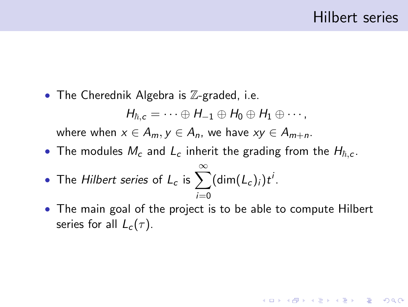**K ロ ▶ K @ ▶ K 할 X X 할 X 및 할 X X Q Q O** 

• The Cherednik Algebra is  $\mathbb{Z}$ -graded, i.e.

$$
H_{\hbar,c}=\cdots\oplus H_{-1}\oplus H_0\oplus H_1\oplus\cdots,
$$

where when  $x \in A_m$ ,  $y \in A_n$ , we have  $xy \in A_{m+n}$ .

• The modules  $M_c$  and  $L_c$  inherit the grading from the  $H_{\hbar,c}$ .

• The Hilbert series of 
$$
L_c
$$
 is  $\sum_{i=0}^{\infty} (\dim(L_c)_i) t^i$ .

• The main goal of the project is to be able to compute Hilbert series for all  $L_c(\tau)$ .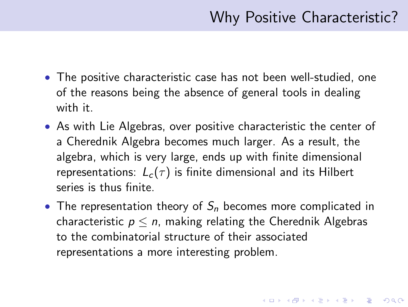4 D > 4 P + 4 B + 4 B + B + 9 Q O

- The positive characteristic case has not been well-studied, one of the reasons being the absence of general tools in dealing with it.
- As with Lie Algebras, over positive characteristic the center of a Cherednik Algebra becomes much larger. As a result, the algebra, which is very large, ends up with finite dimensional representations:  $L_c(\tau)$  is finite dimensional and its Hilbert series is thus finite.
- The representation theory of  $S_n$  becomes more complicated in characteristic  $p \leq n$ , making relating the Cherednik Algebras to the combinatorial structure of their associated representations a more interesting problem.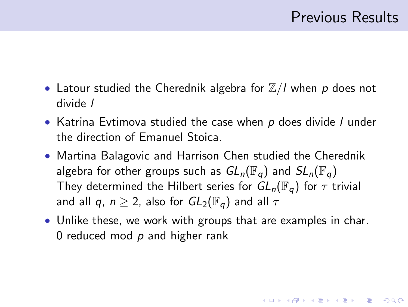**KORKAR KERKER E VOOR** 

- Latour studied the Cherednik algebra for  $\mathbb{Z}/I$  when p does not divide *l*
- Katrina Evtimova studied the case when *p* does divide *l* under the direction of Emanuel Stoica.
- Martina Balagovic and Harrison Chen studied the Cherednik algebra for other groups such as  $GL_n(\mathbb{F}_q)$  and  $SL_n(\mathbb{F}_q)$ They determined the Hilbert series for  $GL_n(\mathbb{F}_q)$  for  $\tau$  trivial and all *q*,  $n \geq 2$ , also for  $GL_2(\mathbb{F}_q)$  and all  $\tau$
- Unlike these, we work with groups that are examples in char. 0 reduced mod *p* and higher rank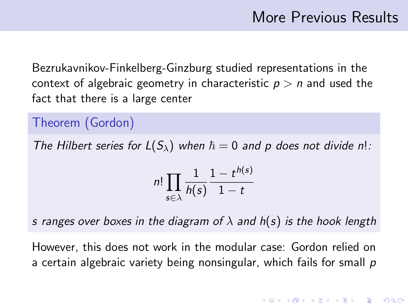Bezrukavnikov-Finkelberg-Ginzburg studied representations in the context of algebraic geometry in characteristic  $p > n$  and used the fact that there is a large center

Theorem (Gordon)

*The Hilbert series for*  $L(S_\lambda)$  *when*  $\hbar = 0$  *and p does not divide n!:* 

$$
n! \prod_{s \in \lambda} \frac{1}{h(s)} \frac{1 - t^{h(s)}}{1 - t}
$$

*s ranges over boxes in the diagram of* λ *and h*(*s*) *is the hook length*

<span id="page-6-0"></span>However, this does not work in the modular case: Gordon relied on a certain algebraic variety being nonsingular, which fails for small *p*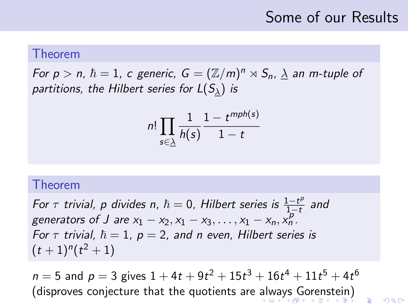## Some of our Results

 $2990$ 

#### Theorem

*For p*  $> n$ ,  $\hbar = 1$ , c generic,  $G = (\mathbb{Z}/m)^n \rtimes S_n$ ,  $\underline{\lambda}$  an m-tuple of *partitions, the Hilbert series for*  $L(S_\lambda)$  *is* 

$$
n! \prod_{s \in \underline{\lambda}} \frac{1}{h(s)} \frac{1 - t^{mph(s)}}{1 - t}
$$

#### Theorem

*For*  $\tau$  *trivial, p divides n,*  $\hbar = 0$ *, Hilbert series is*  $\frac{1-t^p}{1-t^p}$ 1−t *and generators of J are*  $x_1 - x_2, x_1 - x_3, ..., x_1 - x_n, x_n^p$ . *For*  $\tau$  *trivial,*  $\hbar = 1$ ,  $p = 2$ , and n even, Hilbert series is  $(t+1)^n(t^2+1)$ 

<span id="page-7-0"></span> $n = 5$  and  $p = 3$  gives  $1 + 4t + 9t^2 + 15t^3 + 16t^4 + 11t^5 + 4t^6$ (disproves conjecture that the quotients are [al](#page-6-0)[wa](#page-8-0)[ys](#page-6-0) [G](#page-7-0)[o](#page-8-0)[re](#page-0-0)[ns](#page-11-0)[tei](#page-0-0)[n\)](#page-11-0)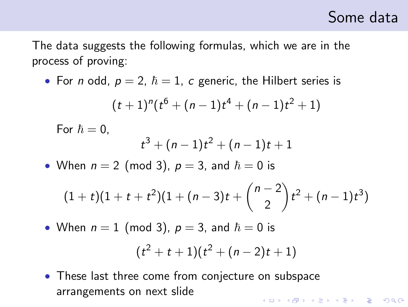## Some data

The data suggests the following formulas, which we are in the process of proving:

• For *n* odd,  $p = 2$ ,  $\hbar = 1$ , *c* generic, the Hilbert series is

$$
(t+1)^n(t^6+(n-1)t^4+(n-1)t^2+1)
$$

For  $\hbar = 0$ ,  $t^3 + (n-1)t^2 + (n-1)t + 1$ • When  $n = 2 \pmod{3}$ ,  $p = 3$ , and  $\hbar = 0$  is

$$
(1+t)(1+t+t^2)(1+(n-3)t+\binom{n-2}{2}t^2+(n-1)t^3)
$$

• When  $n = 1$  (mod 3),  $p = 3$ , and  $\hbar = 0$  is

$$
(t^2+t+1)(t^2+(n-2)t+1)
$$

<span id="page-8-0"></span>• These last three come from conjecture on subspace arrangements on next slideKID KA KERKER KERKER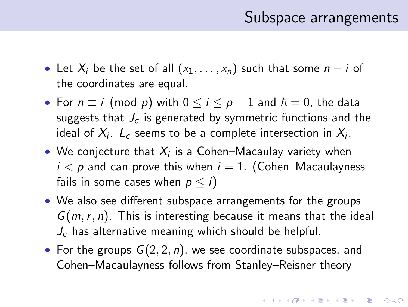### Subspace arrangements

- Let  $X_i$  be the set of all  $(x_1, \ldots, x_n)$  such that some  $n i$  of the coordinates are equal.
- For  $n \equiv i \pmod{p}$  with  $0 \le i \le p-1$  and  $\hbar = 0$ , the data suggests that  $J_c$  is generated by symmetric functions and the ideal of  $X_i$ .  $L_c$  seems to be a complete intersection in  $X_i$ .
- $\bullet\,$  We conjecture that  $X_i$  is a Cohen–Macaulay variety when  $i < p$  and can prove this when  $i = 1$ . (Cohen–Macaulayness fails in some cases when  $p \leq i$ )
- We also see different subspace arrangements for the groups *G*(*m*,*r*, *n*). This is interesting because it means that the ideal *J<sub>c</sub>* has alternative meaning which should be helpful.
- For the groups *G*(2, 2, *n*), we see coordinate subspaces, and Cohen–Macaulayness follows from Stanley–Reisner theory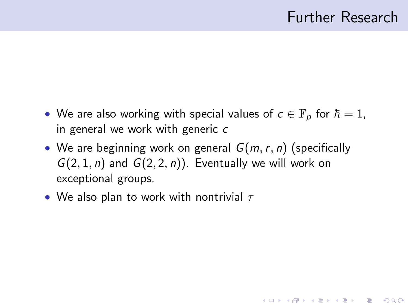**KORK ERKER ADE YOUR** 

- We are also working with special values of  $c \in \mathbb{F}_p$  for  $\hbar = 1$ , in general we work with generic *c*
- We are beginning work on general *G*(*m*,*r*, *n*) (specifically  $G(2, 1, n)$  and  $G(2, 2, n)$ ). Eventually we will work on exceptional groups.
- We also plan to work with nontrivial  $\tau$